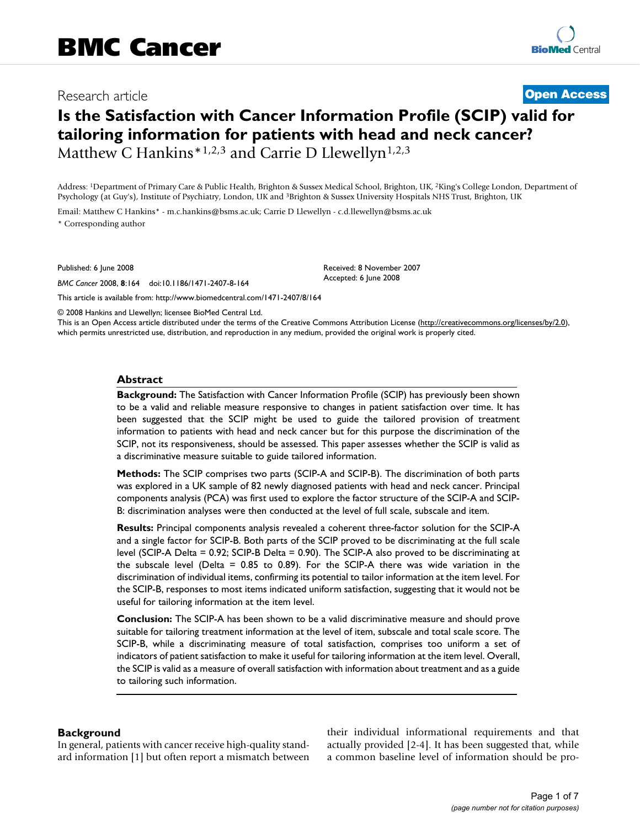# Research article **[Open Access](http://www.biomedcentral.com/info/about/charter/)**

# **Is the Satisfaction with Cancer Information Profile (SCIP) valid for tailoring information for patients with head and neck cancer?** Matthew C Hankins<sup>\*1,2,3</sup> and Carrie D Llewellyn<sup>1,2,3</sup>

Address: 1Department of Primary Care & Public Health, Brighton & Sussex Medical School, Brighton, UK, 2King's College London, Department of Psychology (at Guy's), Institute of Psychiatry, London, UK and 3Brighton & Sussex University Hospitals NHS Trust, Brighton, UK

> Received: 8 November 2007 Accepted: 6 June 2008

Email: Matthew C Hankins\* - m.c.hankins@bsms.ac.uk; Carrie D Llewellyn - c.d.llewellyn@bsms.ac.uk \* Corresponding author

Published: 6 June 2008

*BMC Cancer* 2008, **8**:164 doi:10.1186/1471-2407-8-164

[This article is available from: http://www.biomedcentral.com/1471-2407/8/164](http://www.biomedcentral.com/1471-2407/8/164)

© 2008 Hankins and Llewellyn; licensee BioMed Central Ltd.

This is an Open Access article distributed under the terms of the Creative Commons Attribution License [\(http://creativecommons.org/licenses/by/2.0\)](http://creativecommons.org/licenses/by/2.0), which permits unrestricted use, distribution, and reproduction in any medium, provided the original work is properly cited.

#### **Abstract**

**Background:** The Satisfaction with Cancer Information Profile (SCIP) has previously been shown to be a valid and reliable measure responsive to changes in patient satisfaction over time. It has been suggested that the SCIP might be used to guide the tailored provision of treatment information to patients with head and neck cancer but for this purpose the discrimination of the SCIP, not its responsiveness, should be assessed. This paper assesses whether the SCIP is valid as a discriminative measure suitable to guide tailored information.

**Methods:** The SCIP comprises two parts (SCIP-A and SCIP-B). The discrimination of both parts was explored in a UK sample of 82 newly diagnosed patients with head and neck cancer. Principal components analysis (PCA) was first used to explore the factor structure of the SCIP-A and SCIP-B: discrimination analyses were then conducted at the level of full scale, subscale and item.

**Results:** Principal components analysis revealed a coherent three-factor solution for the SCIP-A and a single factor for SCIP-B. Both parts of the SCIP proved to be discriminating at the full scale level (SCIP-A Delta = 0.92; SCIP-B Delta = 0.90). The SCIP-A also proved to be discriminating at the subscale level (Delta = 0.85 to 0.89). For the SCIP-A there was wide variation in the discrimination of individual items, confirming its potential to tailor information at the item level. For the SCIP-B, responses to most items indicated uniform satisfaction, suggesting that it would not be useful for tailoring information at the item level.

**Conclusion:** The SCIP-A has been shown to be a valid discriminative measure and should prove suitable for tailoring treatment information at the level of item, subscale and total scale score. The SCIP-B, while a discriminating measure of total satisfaction, comprises too uniform a set of indicators of patient satisfaction to make it useful for tailoring information at the item level. Overall, the SCIP is valid as a measure of overall satisfaction with information about treatment and as a guide to tailoring such information.

#### **Background**

In general, patients with cancer receive high-quality standard information [1] but often report a mismatch between their individual informational requirements and that actually provided [2-4]. It has been suggested that, while a common baseline level of information should be pro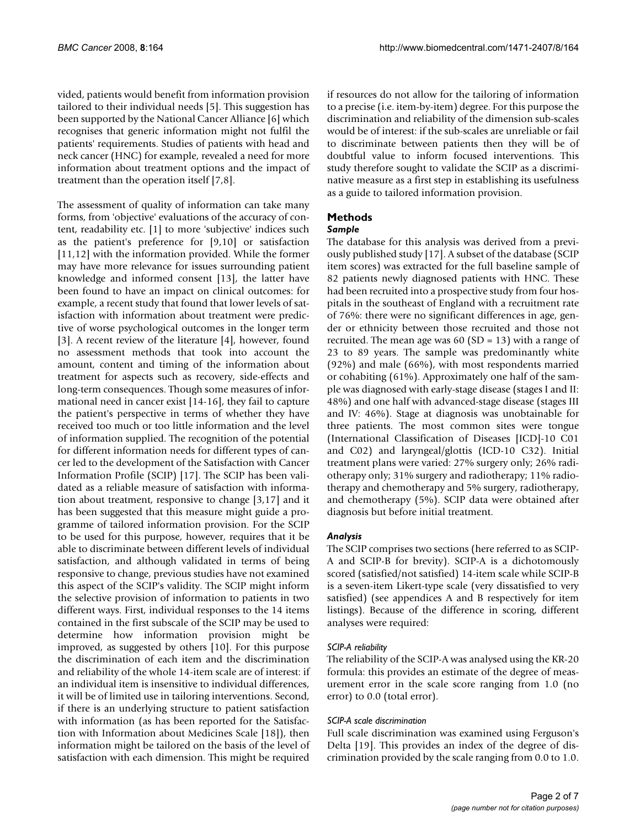vided, patients would benefit from information provision tailored to their individual needs [5]. This suggestion has been supported by the National Cancer Alliance [6] which recognises that generic information might not fulfil the patients' requirements. Studies of patients with head and neck cancer (HNC) for example, revealed a need for more information about treatment options and the impact of treatment than the operation itself [7,8].

The assessment of quality of information can take many forms, from 'objective' evaluations of the accuracy of content, readability etc. [1] to more 'subjective' indices such as the patient's preference for [9,10] or satisfaction [11,12] with the information provided. While the former may have more relevance for issues surrounding patient knowledge and informed consent [13], the latter have been found to have an impact on clinical outcomes: for example, a recent study that found that lower levels of satisfaction with information about treatment were predictive of worse psychological outcomes in the longer term [3]. A recent review of the literature [4], however, found no assessment methods that took into account the amount, content and timing of the information about treatment for aspects such as recovery, side-effects and long-term consequences. Though some measures of informational need in cancer exist [14-16], they fail to capture the patient's perspective in terms of whether they have received too much or too little information and the level of information supplied. The recognition of the potential for different information needs for different types of cancer led to the development of the Satisfaction with Cancer Information Profile (SCIP) [17]. The SCIP has been validated as a reliable measure of satisfaction with information about treatment, responsive to change [3,17] and it has been suggested that this measure might guide a programme of tailored information provision. For the SCIP to be used for this purpose, however, requires that it be able to discriminate between different levels of individual satisfaction, and although validated in terms of being responsive to change, previous studies have not examined this aspect of the SCIP's validity. The SCIP might inform the selective provision of information to patients in two different ways. First, individual responses to the 14 items contained in the first subscale of the SCIP may be used to determine how information provision might be improved, as suggested by others [10]. For this purpose the discrimination of each item and the discrimination and reliability of the whole 14-item scale are of interest: if an individual item is insensitive to individual differences, it will be of limited use in tailoring interventions. Second, if there is an underlying structure to patient satisfaction with information (as has been reported for the Satisfaction with Information about Medicines Scale [18]), then information might be tailored on the basis of the level of satisfaction with each dimension. This might be required

if resources do not allow for the tailoring of information to a precise (i.e. item-by-item) degree. For this purpose the discrimination and reliability of the dimension sub-scales would be of interest: if the sub-scales are unreliable or fail to discriminate between patients then they will be of doubtful value to inform focused interventions. This study therefore sought to validate the SCIP as a discriminative measure as a first step in establishing its usefulness as a guide to tailored information provision.

# **Methods**

# *Sample*

The database for this analysis was derived from a previously published study [17]. A subset of the database (SCIP item scores) was extracted for the full baseline sample of 82 patients newly diagnosed patients with HNC. These had been recruited into a prospective study from four hospitals in the southeast of England with a recruitment rate of 76%: there were no significant differences in age, gender or ethnicity between those recruited and those not recruited. The mean age was  $60 (SD = 13)$  with a range of 23 to 89 years. The sample was predominantly white (92%) and male (66%), with most respondents married or cohabiting (61%). Approximately one half of the sample was diagnosed with early-stage disease (stages I and II: 48%) and one half with advanced-stage disease (stages III and IV: 46%). Stage at diagnosis was unobtainable for three patients. The most common sites were tongue (International Classification of Diseases [ICD]-10 C01 and C02) and laryngeal/glottis (ICD-10 C32). Initial treatment plans were varied: 27% surgery only; 26% radiotherapy only; 31% surgery and radiotherapy; 11% radiotherapy and chemotherapy and 5% surgery, radiotherapy, and chemotherapy (5%). SCIP data were obtained after diagnosis but before initial treatment.

# *Analysis*

The SCIP comprises two sections (here referred to as SCIP-A and SCIP-B for brevity). SCIP-A is a dichotomously scored (satisfied/not satisfied) 14-item scale while SCIP-B is a seven-item Likert-type scale (very dissatisfied to very satisfied) (see appendices A and B respectively for item listings). Because of the difference in scoring, different analyses were required:

# *SCIP-A reliability*

The reliability of the SCIP-A was analysed using the KR-20 formula: this provides an estimate of the degree of measurement error in the scale score ranging from 1.0 (no error) to 0.0 (total error).

# *SCIP-A scale discrimination*

Full scale discrimination was examined using Ferguson's Delta [19]. This provides an index of the degree of discrimination provided by the scale ranging from 0.0 to 1.0.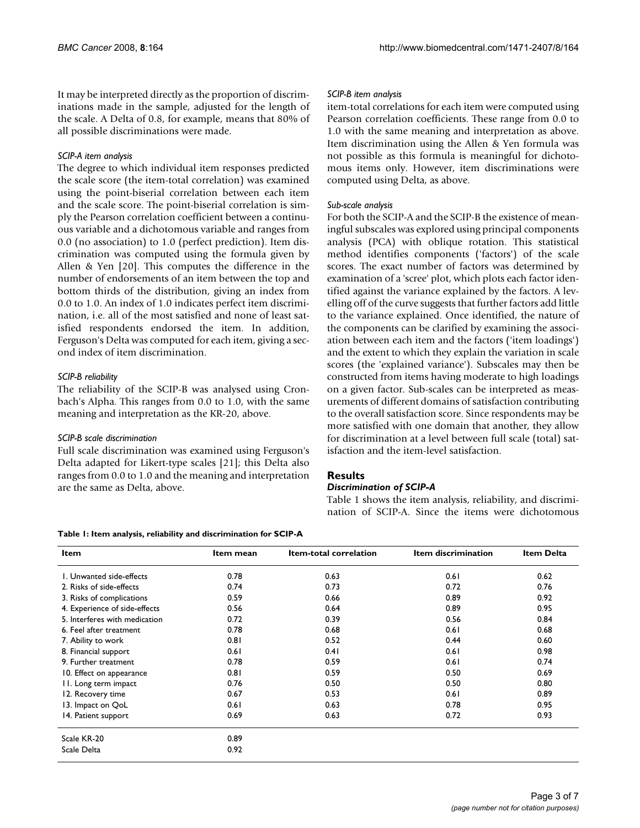It may be interpreted directly as the proportion of discriminations made in the sample, adjusted for the length of the scale. A Delta of 0.8, for example, means that 80% of all possible discriminations were made.

## *SCIP-A item analysis*

The degree to which individual item responses predicted the scale score (the item-total correlation) was examined using the point-biserial correlation between each item and the scale score. The point-biserial correlation is simply the Pearson correlation coefficient between a continuous variable and a dichotomous variable and ranges from 0.0 (no association) to 1.0 (perfect prediction). Item discrimination was computed using the formula given by Allen & Yen [20]. This computes the difference in the number of endorsements of an item between the top and bottom thirds of the distribution, giving an index from 0.0 to 1.0. An index of 1.0 indicates perfect item discrimination, i.e. all of the most satisfied and none of least satisfied respondents endorsed the item. In addition, Ferguson's Delta was computed for each item, giving a second index of item discrimination.

# *SCIP-B reliability*

The reliability of the SCIP-B was analysed using Cronbach's Alpha. This ranges from 0.0 to 1.0, with the same meaning and interpretation as the KR-20, above.

#### *SCIP-B scale discrimination*

Full scale discrimination was examined using Ferguson's Delta adapted for Likert-type scales [21]; this Delta also ranges from 0.0 to 1.0 and the meaning and interpretation are the same as Delta, above.

#### **Table 1: Item analysis, reliability and discrimination for SCIP-A**

## *SCIP-B item analysis*

item-total correlations for each item were computed using Pearson correlation coefficients. These range from 0.0 to 1.0 with the same meaning and interpretation as above. Item discrimination using the Allen & Yen formula was not possible as this formula is meaningful for dichotomous items only. However, item discriminations were computed using Delta, as above.

# *Sub-scale analysis*

For both the SCIP-A and the SCIP-B the existence of meaningful subscales was explored using principal components analysis (PCA) with oblique rotation. This statistical method identifies components ('factors') of the scale scores. The exact number of factors was determined by examination of a 'scree' plot, which plots each factor identified against the variance explained by the factors. A levelling off of the curve suggests that further factors add little to the variance explained. Once identified, the nature of the components can be clarified by examining the association between each item and the factors ('item loadings') and the extent to which they explain the variation in scale scores (the 'explained variance'). Subscales may then be constructed from items having moderate to high loadings on a given factor. Sub-scales can be interpreted as measurements of different domains of satisfaction contributing to the overall satisfaction score. Since respondents may be more satisfied with one domain that another, they allow for discrimination at a level between full scale (total) satisfaction and the item-level satisfaction.

# **Results**

#### *Discrimination of SCIP-A*

Table 1 shows the item analysis, reliability, and discrimination of SCIP-A. Since the items were dichotomous

| <b>Item</b>                   | Item mean | <b>Item-total correlation</b> | Item discrimination | Item Delta |
|-------------------------------|-----------|-------------------------------|---------------------|------------|
| I. Unwanted side-effects      | 0.78      | 0.63                          | 0.61                | 0.62       |
| 2. Risks of side-effects      | 0.74      | 0.73                          | 0.72                | 0.76       |
| 3. Risks of complications     | 0.59      | 0.66                          | 0.89                | 0.92       |
| 4. Experience of side-effects | 0.56      | 0.64                          | 0.89                | 0.95       |
| 5. Interferes with medication | 0.72      | 0.39                          | 0.56                | 0.84       |
| 6. Feel after treatment       | 0.78      | 0.68                          | 0.61                | 0.68       |
| 7. Ability to work            | 0.81      | 0.52                          | 0.44                | 0.60       |
| 8. Financial support          | 0.61      | 0.41                          | 0.61                | 0.98       |
| 9. Further treatment          | 0.78      | 0.59                          | 0.61                | 0.74       |
| 10. Effect on appearance      | 0.81      | 0.59                          | 0.50                | 0.69       |
| 11. Long term impact          | 0.76      | 0.50                          | 0.50                | 0.80       |
| 12. Recovery time             | 0.67      | 0.53                          | 0.61                | 0.89       |
| 13. Impact on QoL             | 0.61      | 0.63                          | 0.78                | 0.95       |
| 14. Patient support           | 0.69      | 0.63                          | 0.72                | 0.93       |
| Scale KR-20                   | 0.89      |                               |                     |            |
| Scale Delta                   | 0.92      |                               |                     |            |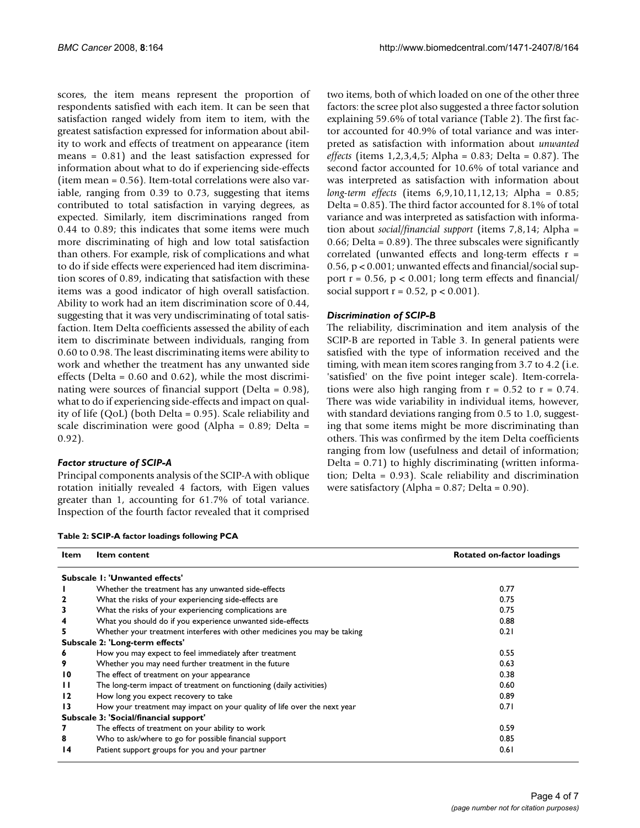scores, the item means represent the proportion of respondents satisfied with each item. It can be seen that satisfaction ranged widely from item to item, with the greatest satisfaction expressed for information about ability to work and effects of treatment on appearance (item means = 0.81) and the least satisfaction expressed for information about what to do if experiencing side-effects (item mean = 0.56). Item-total correlations were also variable, ranging from 0.39 to 0.73, suggesting that items contributed to total satisfaction in varying degrees, as expected. Similarly, item discriminations ranged from 0.44 to 0.89; this indicates that some items were much more discriminating of high and low total satisfaction than others. For example, risk of complications and what to do if side effects were experienced had item discrimination scores of 0.89, indicating that satisfaction with these items was a good indicator of high overall satisfaction. Ability to work had an item discrimination score of 0.44, suggesting that it was very undiscriminating of total satisfaction. Item Delta coefficients assessed the ability of each item to discriminate between individuals, ranging from 0.60 to 0.98. The least discriminating items were ability to work and whether the treatment has any unwanted side effects (Delta = 0.60 and 0.62), while the most discriminating were sources of financial support (Delta = 0.98), what to do if experiencing side-effects and impact on quality of life (QoL) (both Delta = 0.95). Scale reliability and scale discrimination were good (Alpha = 0.89; Delta = 0.92).

#### *Factor structure of SCIP-A*

Principal components analysis of the SCIP-A with oblique rotation initially revealed 4 factors, with Eigen values greater than 1, accounting for 61.7% of total variance. Inspection of the fourth factor revealed that it comprised two items, both of which loaded on one of the other three factors: the scree plot also suggested a three factor solution explaining 59.6% of total variance (Table 2). The first factor accounted for 40.9% of total variance and was interpreted as satisfaction with information about *unwanted effects* (items 1,2,3,4,5; Alpha = 0.83; Delta = 0.87). The second factor accounted for 10.6% of total variance and was interpreted as satisfaction with information about *long-term effects* (items 6,9,10,11,12,13; Alpha = 0.85; Delta = 0.85). The third factor accounted for 8.1% of total variance and was interpreted as satisfaction with information about *social/financial support* (items 7,8,14; Alpha = 0.66; Delta = 0.89). The three subscales were significantly correlated (unwanted effects and long-term effects r = 0.56, p < 0.001; unwanted effects and financial/social support  $r = 0.56$ ,  $p < 0.001$ ; long term effects and financial/ social support  $r = 0.52$ ,  $p < 0.001$ ).

# *Discrimination of SCIP-B*

The reliability, discrimination and item analysis of the SCIP-B are reported in Table 3. In general patients were satisfied with the type of information received and the timing, with mean item scores ranging from 3.7 to 4.2 (i.e. 'satisfied' on the five point integer scale). Item-correlations were also high ranging from  $r = 0.52$  to  $r = 0.74$ . There was wide variability in individual items, however, with standard deviations ranging from 0.5 to 1.0, suggesting that some items might be more discriminating than others. This was confirmed by the item Delta coefficients ranging from low (usefulness and detail of information; Delta = 0.71) to highly discriminating (written information; Delta = 0.93). Scale reliability and discrimination were satisfactory (Alpha = 0.87; Delta = 0.90).

**Table 2: SCIP-A factor loadings following PCA**

| Item | <b>Item content</b>                                                      | Rotated on-factor loadings |
|------|--------------------------------------------------------------------------|----------------------------|
|      | Subscale 1: 'Unwanted effects'                                           |                            |
|      | Whether the treatment has any unwanted side-effects                      | 0.77                       |
| 2    | What the risks of your experiencing side-effects are                     | 0.75                       |
|      | What the risks of your experiencing complications are                    | 0.75                       |
|      | What you should do if you experience unwanted side-effects               | 0.88                       |
|      | Whether your treatment interferes with other medicines you may be taking | 0.21                       |
|      | Subscale 2: 'Long-term effects'                                          |                            |
| 6    | How you may expect to feel immediately after treatment                   | 0.55                       |
| 9    | Whether you may need further treatment in the future                     | 0.63                       |
| 10   | The effect of treatment on your appearance                               | 0.38                       |
| п    | The long-term impact of treatment on functioning (daily activities)      | 0.60                       |
| 12   | How long you expect recovery to take                                     | 0.89                       |
| 13   | How your treatment may impact on your quality of life over the next year | 0.71                       |
|      | Subscale 3: 'Social/financial support'                                   |                            |
| 7    | The effects of treatment on your ability to work                         | 0.59                       |
| 8    | Who to ask/where to go for possible financial support                    | 0.85                       |
| 14   | Patient support groups for you and your partner                          | 0.61                       |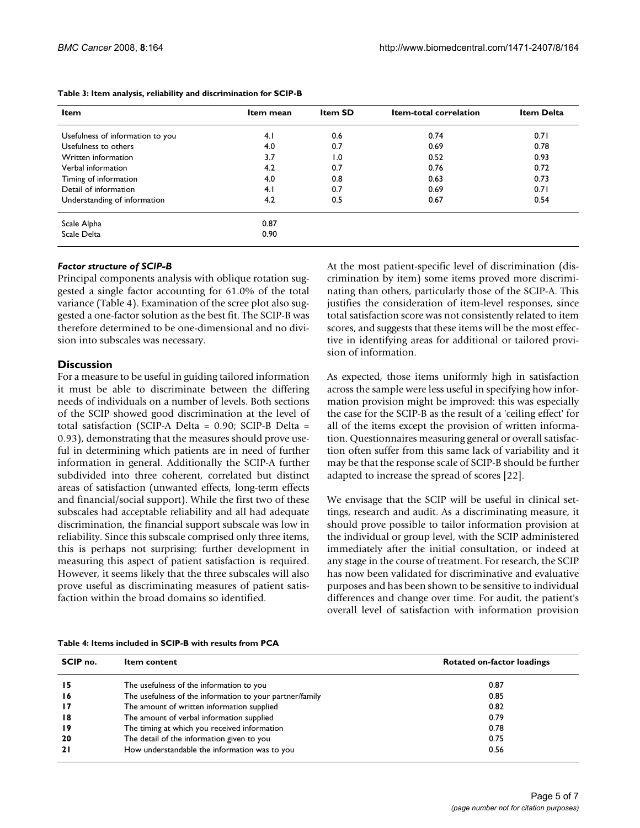| Item mean | <b>Item SD</b> | Item-total correlation | <b>Item Delta</b> |
|-----------|----------------|------------------------|-------------------|
| 4.1       | 0.6            | 0.74                   | 0.71              |
| 4.0       | 0.7            | 0.69                   | 0.78              |
| 3.7       | 1.0            | 0.52                   | 0.93              |
| 4.2       | 0.7            | 0.76                   | 0.72              |
| 4.0       | 0.8            | 0.63                   | 0.73              |
| 4.1       | 0.7            | 0.69                   | 0.71              |
| 4.2       | 0.5            | 0.67                   | 0.54              |
| 0.87      |                |                        |                   |
| 0.90      |                |                        |                   |
|           |                |                        |                   |

#### **Table 3: Item analysis, reliability and discrimination for SCIP-B**

#### *Factor structure of SCIP-B*

Principal components analysis with oblique rotation suggested a single factor accounting for 61.0% of the total variance (Table 4). Examination of the scree plot also suggested a one-factor solution as the best fit. The SCIP-B was therefore determined to be one-dimensional and no division into subscales was necessary.

# **Discussion**

For a measure to be useful in guiding tailored information it must be able to discriminate between the differing needs of individuals on a number of levels. Both sections of the SCIP showed good discrimination at the level of total satisfaction (SCIP-A Delta = 0.90; SCIP-B Delta = 0.93), demonstrating that the measures should prove useful in determining which patients are in need of further information in general. Additionally the SCIP-A further subdivided into three coherent, correlated but distinct areas of satisfaction (unwanted effects, long-term effects and financial/social support). While the first two of these subscales had acceptable reliability and all had adequate discrimination, the financial support subscale was low in reliability. Since this subscale comprised only three items, this is perhaps not surprising: further development in measuring this aspect of patient satisfaction is required. However, it seems likely that the three subscales will also prove useful as discriminating measures of patient satisfaction within the broad domains so identified.

At the most patient-specific level of discrimination (discrimination by item) some items proved more discriminating than others, particularly those of the SCIP-A. This justifies the consideration of item-level responses, since total satisfaction score was not consistently related to item scores, and suggests that these items will be the most effective in identifying areas for additional or tailored provision of information.

As expected, those items uniformly high in satisfaction across the sample were less useful in specifying how information provision might be improved: this was especially the case for the SCIP-B as the result of a 'ceiling effect' for all of the items except the provision of written information. Questionnaires measuring general or overall satisfaction often suffer from this same lack of variability and it may be that the response scale of SCIP-B should be further adapted to increase the spread of scores [22].

We envisage that the SCIP will be useful in clinical settings, research and audit. As a discriminating measure, it should prove possible to tailor information provision at the individual or group level, with the SCIP administered immediately after the initial consultation, or indeed at any stage in the course of treatment. For research, the SCIP has now been validated for discriminative and evaluative purposes and has been shown to be sensitive to individual differences and change over time. For audit, the patient's overall level of satisfaction with information provision

|  |  |  | Table 4: Items included in SCIP-B with results from PCA |
|--|--|--|---------------------------------------------------------|
|--|--|--|---------------------------------------------------------|

| SCIP no.        | <b>Item content</b>                                      | Rotated on-factor loadings |  |
|-----------------|----------------------------------------------------------|----------------------------|--|
| 15              | The usefulness of the information to you                 | 0.87                       |  |
| 16              | The usefulness of the information to your partner/family | 0.85                       |  |
| $\overline{17}$ | The amount of written information supplied               | 0.82                       |  |
| $\overline{18}$ | The amount of verbal information supplied                | 0.79                       |  |
| 19              | The timing at which you received information             | 0.78                       |  |
| 20              | The detail of the information given to you               | 0.75                       |  |
| 21              | How understandable the information was to you            | 0.56                       |  |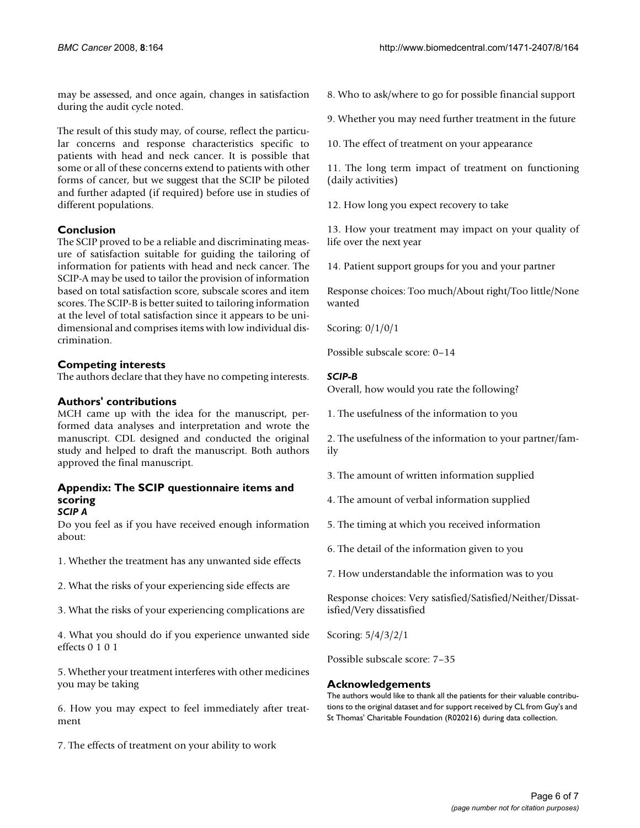may be assessed, and once again, changes in satisfaction during the audit cycle noted.

The result of this study may, of course, reflect the particular concerns and response characteristics specific to patients with head and neck cancer. It is possible that some or all of these concerns extend to patients with other forms of cancer, but we suggest that the SCIP be piloted and further adapted (if required) before use in studies of different populations.

# **Conclusion**

The SCIP proved to be a reliable and discriminating measure of satisfaction suitable for guiding the tailoring of information for patients with head and neck cancer. The SCIP-A may be used to tailor the provision of information based on total satisfaction score, subscale scores and item scores. The SCIP-B is better suited to tailoring information at the level of total satisfaction since it appears to be unidimensional and comprises items with low individual discrimination.

# **Competing interests**

The authors declare that they have no competing interests.

# **Authors' contributions**

MCH came up with the idea for the manuscript, performed data analyses and interpretation and wrote the manuscript. CDL designed and conducted the original study and helped to draft the manuscript. Both authors approved the final manuscript.

#### **Appendix: The SCIP questionnaire items and scoring** *SCIP A*

Do you feel as if you have received enough information about:

1. Whether the treatment has any unwanted side effects

2. What the risks of your experiencing side effects are

3. What the risks of your experiencing complications are

4. What you should do if you experience unwanted side effects 0 1 0 1

5. Whether your treatment interferes with other medicines you may be taking

6. How you may expect to feel immediately after treatment

7. The effects of treatment on your ability to work

8. Who to ask/where to go for possible financial support

9. Whether you may need further treatment in the future

10. The effect of treatment on your appearance

11. The long term impact of treatment on functioning (daily activities)

12. How long you expect recovery to take

13. How your treatment may impact on your quality of life over the next year

14. Patient support groups for you and your partner

Response choices: Too much/About right/Too little/None wanted

Scoring: 0/1/0/1

Possible subscale score: 0–14

# *SCIP-B*

Overall, how would you rate the following?

1. The usefulness of the information to you

2. The usefulness of the information to your partner/family

3. The amount of written information supplied

4. The amount of verbal information supplied

5. The timing at which you received information

6. The detail of the information given to you

7. How understandable the information was to you

Response choices: Very satisfied/Satisfied/Neither/Dissatisfied/Very dissatisfied

Scoring: 5/4/3/2/1

Possible subscale score: 7–35

# **Acknowledgements**

The authors would like to thank all the patients for their valuable contributions to the original dataset and for support received by CL from Guy's and St Thomas' Charitable Foundation (R020216) during data collection.